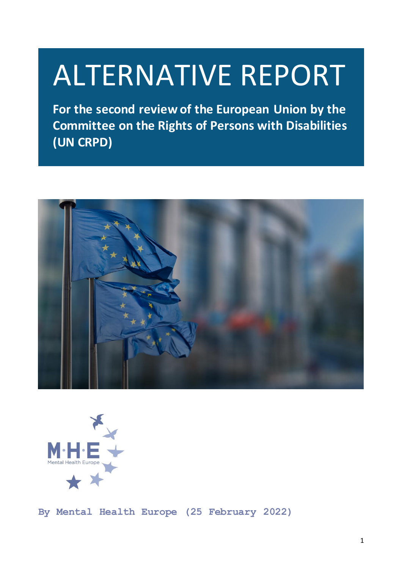# ALTERNATIVE REPORT

**For the second review of the European Union by the Committee on the Rights of Persons with Disabilities (UN CRPD)**





**By Mental Health Europe (25 February 2022)**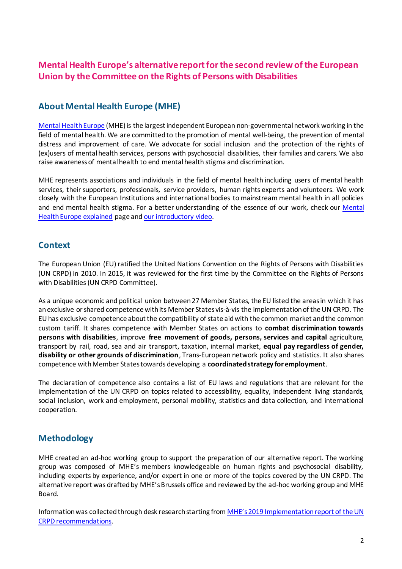# **Mental Health Europe's alternative report for the second review of the European Union by the Committee on the Rights of Persons with Disabilities**

# **About Mental Health Europe (MHE)**

[Mental Health Europe](https://www.mhe-sme.org/) (MHE) is the largest independent European non-governmental network working in the field of mental health. We are committed to the promotion of mental well-being, the prevention of mental distress and improvement of care. We advocate for social inclusion and the protection of the rights of (ex)users of mental health services, persons with psychosocial disabilities, their families and carers. We also raise awareness of mental health to end mental health stigma and discrimination.

MHE represents associations and individuals in the field of mental health including users of mental health services, their supporters, professionals, service providers, human rights experts and volunteers. We work closely with the European Institutions and international bodies to mainstream mental health in all policies and end mental health stigma. For a better understanding of the essence of our work, check our [Mental](https://www.mhe-sme.org/mental-health-europe-explained/)  [Health Europe explained](https://www.mhe-sme.org/mental-health-europe-explained/) page and [our introductory video.](https://www.youtube.com/watch?v=N-m2WOYa-7s)

# **Context**

The European Union (EU) ratified the United Nations Convention on the Rights of Persons with Disabilities (UN CRPD) in 2010. In 2015, it was reviewed for the first time by the Committee on the Rights of Persons with Disabilities (UN CRPD Committee).

As a unique economic and political union between 27 Member States, the EU listed the areas in which it has an exclusive or shared competence with its Member States vis-à-vis the implementation of the UN CRPD. The EU has exclusive competence about the compatibility of state aid with the common market and the common custom tariff. It shares competence with Member States on actions to **combat discrimination towards persons with disabilities**, improve **free movement of goods, persons, services and capital** agriculture, transport by rail, road, sea and air transport, taxation, internal market, **equal pay regardless of gender, disability or other grounds of discrimination**, Trans-European network policy and statistics. It also shares competence with Member States towards developing a **coordinated strategy for employment**.

The declaration of competence also contains a list of EU laws and regulations that are relevant for the implementation of the UN CRPD on topics related to accessibility, equality, independent living standards, social inclusion, work and employment, personal mobility, statistics and data collection, and international cooperation.

# **Methodology**

MHE created an ad-hoc working group to support the preparation of our alternative report. The working group was composed of MHE's members knowledgeable on human rights and psychosocial disability, including experts by experience, and/or expert in one or more of the topics covered by the UN CRPD. The alternative report was drafted by MHE's Brussels office and reviewed by the ad-hoc working group and MHE Board.

Information was collected through desk research starting from [MHE's 2019 Implementation report of the UN](https://www.mhe-sme.org/wp-content/uploads/2019/11/UNCRPD-Implementation-2019.pdf)  [CRPD recommendations.](https://www.mhe-sme.org/wp-content/uploads/2019/11/UNCRPD-Implementation-2019.pdf)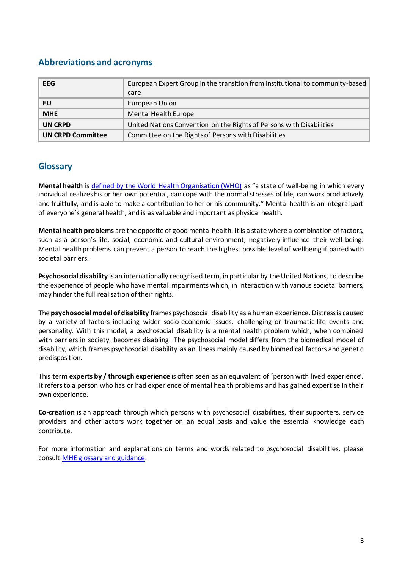# **Abbreviations and acronyms**

| <b>EEG</b>               | European Expert Group in the transition from institutional to community-based |
|--------------------------|-------------------------------------------------------------------------------|
|                          | care                                                                          |
| EU                       | European Union                                                                |
| <b>MHE</b>               | Mental Health Europe                                                          |
| <b>UN CRPD</b>           | United Nations Convention on the Rights of Persons with Disabilities          |
| <b>UN CRPD Committee</b> | Committee on the Rights of Persons with Disabilities                          |

# **Glossary**

**Mental health** i[s defined by the World Health Organisation \(WHO\)](https://www.who.int/news-room/fact-sheets/detail/mental-health-strengthening-our-response) as "a state of well-being in which every individual realizes his or her own potential, can cope with the normal stresses of life, can work productively and fruitfully, and is able to make a contribution to her or his community." Mental health is an integral part of everyone's general health, and is as valuable and important as physical health.

**Mental health problems** are the opposite of good mental health. It is a state where a combination of factors, such as a person's life, social, economic and cultural environment, negatively influence their well-being. Mental health problems can prevent a person to reach the highest possible level of wellbeing if paired with societal barriers.

**Psychosocial disability** is an internationally recognised term, in particular by the United Nations, to describe the experience of people who have mental impairments which, in interaction with various societal barriers, may hinder the full realisation of their rights.

The **psychosocial model of disability** frames psychosocial disability as a human experience. Distress is caused by a variety of factors including wider socio-economic issues, challenging or traumatic life events and personality. With this model, a psychosocial disability is a mental health problem which, when combined with barriers in society, becomes disabling. The psychosocial model differs from the biomedical model of disability, which frames psychosocial disability as an illness mainly caused by biomedical factors and genetic predisposition.

This term **experts by / through experience** is often seen as an equivalent of 'person with lived experience'. It refers to a person who has or had experience of mental health problems and has gained expertise in their own experience.

**Co-creation** is an approach through which persons with psychosocial disabilities, their supporters, service providers and other actors work together on an equal basis and value the essential knowledge each contribute.

For more information and explanations on terms and words related to psychosocial disabilities, please consult [MHE glossary and guidance.](https://www.mhe-sme.org/mental-health-europe-explained/#1589352808116-ea747e0b-af09)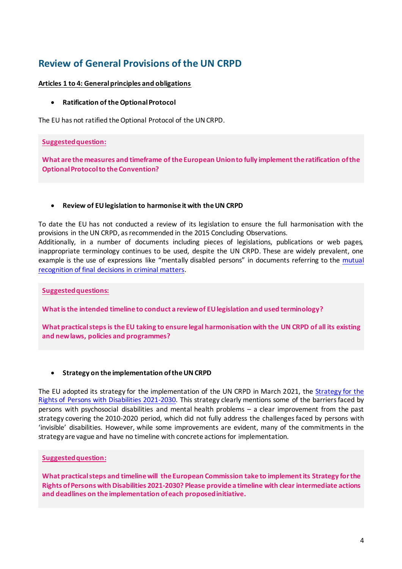# **Review of General Provisions of the UN CRPD**

# **Articles 1 to 4: General principles and obligations**

# **Ratification of the Optional Protocol**

The EU has not ratified the Optional Protocol of the UN CRPD.

# **Suggested question:**

**What are the measures and timeframe of the European Union to fully implement the ratification of the Optional Protocol to the Convention?**

# **Review of EU legislation to harmonise it with the UN CRPD**

To date the EU has not conducted a review of its legislation to ensure the full harmonisation with the provisions in the UN CRPD, as recommended in the 2015 Concluding Observations. Additionally, in a number of documents including pieces of legislations, publications or web pages, inappropriate terminology continues to be used, despite the UN CRPD. These are widely prevalent, one example is the use of expressions like "mentally disabled persons" in documents referring to the [mutual](https://eur-lex.europa.eu/legal-content/EN/TXT/HTML/?uri=CELEX:52000DC0495&from=en)  [recognition of final decisions in criminal matters.](https://eur-lex.europa.eu/legal-content/EN/TXT/HTML/?uri=CELEX:52000DC0495&from=en)

## **Suggested questions:**

**What is the intended timeline to conduct a review of EU legislation and used terminology?** 

**What practical steps is the EU taking to ensure legal harmonisation with the UN CRPD of all its existing and new laws, policies and programmes?** 

## **Strategy on the implementation of the UN CRPD**

The EU adopted its strategy for the implementation of the UN CRPD in March 2021, the [Strategy for the](https://ec.europa.eu/commission/presscorner/detail/en/ip_21_810)  [Rights of Persons with Disabilities 2021-2030.](https://ec.europa.eu/commission/presscorner/detail/en/ip_21_810) This strategy clearly mentions some of the barriers faced by persons with psychosocial disabilities and mental health problems – a clear improvement from the past strategy covering the 2010-2020 period, which did not fully address the challengesfaced by persons with 'invisible' disabilities. However, while some improvements are evident, many of the commitments in the strategy are vague and have no timeline with concrete actions for implementation.

## **Suggested question:**

**What practical steps and timeline will the European Commission take to implement its Strategy for the Rights of Persons with Disabilities 2021-2030? Please provide a timeline with clear intermediate actions and deadlines on the implementation of each proposed initiative.**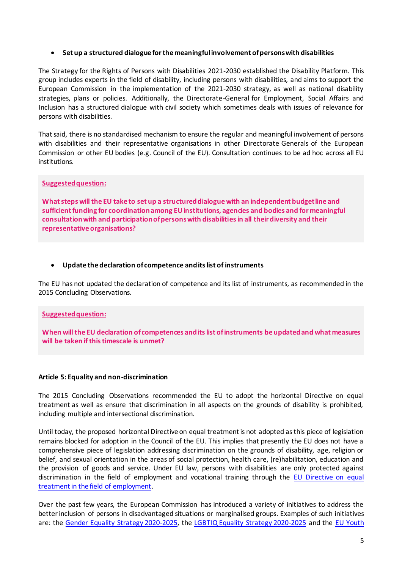# **Set up a structured dialogue for the meaningful involvement of persons with disabilities**

The Strategy for the Rights of Persons with Disabilities 2021-2030 established the Disability Platform. This group includes experts in the field of disability, including persons with disabilities, and aims to support the European Commission in the implementation of the 2021-2030 strategy, as well as national disability strategies, plans or policies. Additionally, the Directorate-General for Employment, Social Affairs and Inclusion has a structured dialogue with civil society which sometimes deals with issues of relevance for persons with disabilities.

That said, there is no standardised mechanism to ensure the regular and meaningful involvement of persons with disabilities and their representative organisations in other Directorate Generals of the European Commission or other EU bodies (e.g. Council of the EU). Consultation continues to be ad hoc across all EU institutions.

# **Suggested question:**

**What steps will the EU take to set up a structured dialogue with an independent budget line and sufficient funding for coordination among EU institutions, agencies and bodies and for meaningful consultation with and participation of persons with disabilities in all their diversity and their representative organisations?** 

# **Update the declaration of competence and its list of instruments**

The EU has not updated the declaration of competence and its list of instruments, as recommended in the 2015 Concluding Observations.

## **Suggested question:**

**When will the EU declaration of competences and its list of instruments be updated and what measures will be taken if this timescale is unmet?** 

## **Article 5: Equality and non-discrimination**

The 2015 Concluding Observations recommended the EU to adopt the horizontal Directive on equal treatment as well as ensure that discrimination in all aspects on the grounds of disability is prohibited, including multiple and intersectional discrimination.

Until today, the proposed horizontal Directive on equal treatment is not adopted as this piece of legislation remains blocked for adoption in the Council of the EU. This implies that presently the EU does not have a comprehensive piece of legislation addressing discrimination on the grounds of disability, age, religion or belief, and sexual orientation in the areas of social protection, health care, (re)habilitation, education and the provision of goods and service. Under EU law, persons with disabilities are only protected against discrimination in the field of employment and vocational training through the [EU Directive on equal](https://eur-lex.europa.eu/legal-content/EN/TXT/?uri=celex%3A32000L0078)  [treatment in the field of employment.](https://eur-lex.europa.eu/legal-content/EN/TXT/?uri=celex%3A32000L0078)

Over the past few years, the European Commission has introduced a variety of initiatives to address the better inclusion of persons in disadvantaged situations or marginalised groups. Examples of such initiatives are: the [Gender Equality Strategy 2020-2025,](https://ec.europa.eu/info/policies/justice-and-fundamental-rights/gender-equality/gender-equality-strategy_en) the [LGBTIQ Equality Strategy 2020-2025](https://ec.europa.eu/info/policies/justice-and-fundamental-rights/combatting-discrimination/lesbian-gay-bi-trans-and-intersex-equality/lgbtiq-equality-strategy-2020-2025_en) and the [EU Youth](https://eur-lex.europa.eu/legal-content/EN/TXT/?uri=OJ:C:2018:456:FULL)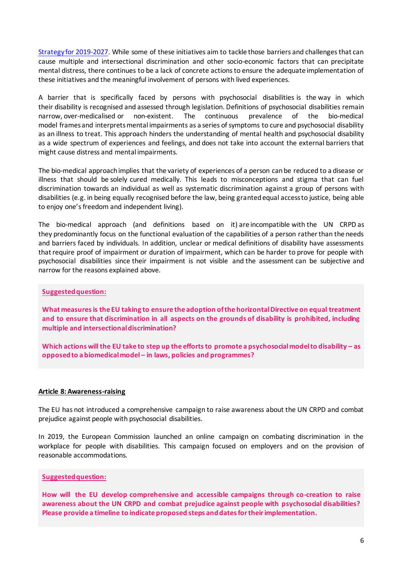[Strategy for 2019-2027.](https://eur-lex.europa.eu/legal-content/EN/TXT/?uri=OJ:C:2018:456:FULL) While some of these initiatives aim to tackle those barriers and challenges that can cause multiple and intersectional discrimination and other socio-economic factors that can precipitate mental distress, there continues to be a lack of concrete actions to ensure the adequate implementation of these initiatives and the meaningful involvement of persons with lived experiences.

A barrier that is specifically faced by persons with psychosocial disabilities is the way in which their disability is recognised and assessed through legislation. Definitions of psychosocial disabilities remain narrow, over-medicalised or non-existent. The continuous prevalence of the bio-medical model framesand interpretsmental impairments as a series of symptoms to cure and psychosocial disability as an illness to treat. This approach hinders the understanding of mental health and psychosocial disability as a wide spectrum of experiences and feelings, and does not take into account the external barriers that might cause distress and mental impairments.

The bio-medical approach implies that the variety of experiences of a person can be reduced to a disease or illness that should be solely cured medically. This leads to misconceptions and stigma that can fuel discrimination towards an individual as well as systematic discrimination against a group of persons with disabilities (e.g. in being equally recognised before the law, being granted equal access to justice, being able to enjoy one's freedom and independent living).

The bio-medical approach (and definitions based on it) are incompatible with the UN CRPD as they predominantly focus on the functional evaluation of the capabilities of a person rather than the needs and barriers faced by individuals. In addition, unclear or medical definitions of disability have assessments that require proof of impairment or duration of impairment, which can be harder to prove for people with psychosocial disabilities since their impairment is not visible and the assessment can be subjective and narrow for the reasons explained above.

# **Suggested question:**

**What measures is the EU taking to ensure the adoption of the horizontal Directive on equal treatment and to ensure that discrimination in all aspects on the grounds of disability is prohibited, including multiple and intersectional discrimination?**

**Which actions will the EU take to step up the efforts to promote a psychosocial model to disability – as opposed to a biomedical model – in laws, policies and programmes?**

# **Article 8: Awareness-raising**

The EU has not introduced a comprehensive campaign to raise awareness about the UN CRPD and combat prejudice against people with psychosocial disabilities.

In 2019, the European Commission launched an online campaign on combating discrimination in the workplace for people with disabilities. This campaign focused on employers and on the provision of reasonable accommodations.

## **Suggested question:**

**How will the EU develop comprehensive and accessible campaigns through co-creation to raise awareness about the UN CRPD and combat prejudice against people with psychosocial disabilities? Please provide a timeline to indicate proposed steps and dates for their implementation.**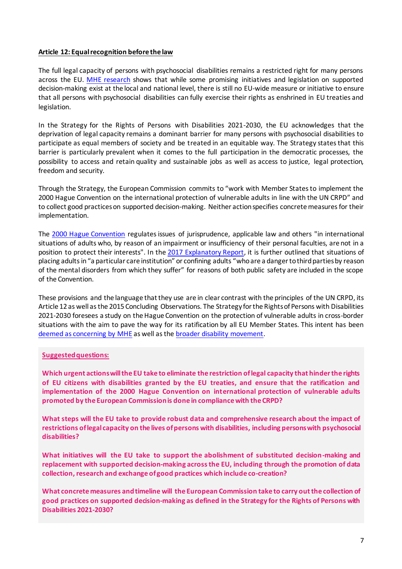# **Article 12: Equal recognition before the law**

The full legal capacity of persons with psychosocial disabilities remains a restricted right for many persons across the EU. [MHE research](https://www.mhe-sme.org/what-we-do/human-rights/promising-practices/) shows that while some promising initiatives and legislation on supported decision-making exist at the local and national level, there is still no EU-wide measure or initiative to ensure that all persons with psychosocial disabilities can fully exercise their rights as enshrined in EU treaties and legislation.

In the Strategy for the Rights of Persons with Disabilities 2021-2030, the EU acknowledges that the deprivation of legal capacity remains a dominant barrier for many persons with psychosocial disabilities to participate as equal members of society and be treated in an equitable way. The Strategy states that this barrier is particularly prevalent when it comes to the full participation in the democratic processes, the possibility to access and retain quality and sustainable jobs as well as access to justice, legal protection, freedom and security.

Through the Strategy, the European Commission commits to "work with Member States to implement the 2000 Hague Convention on the international protection of vulnerable adults in line with the UN CRPD" and to collect good practices on supported decision-making. Neither action specifies concrete measures for their implementation.

The [2000 Hague Convention](https://www.hcch.net/en/instruments/conventions/full-text/?cid=71) regulates issues of jurisprudence, applicable law and others "in international situations of adults who, by reason of an impairment or insufficiency of their personal faculties, are not in a position to protect their interests". In the [2017 Explanatory Report,](https://www.hcch.net/en/publications-and-studies/details4/?pid=2951&dtid=3) it is further outlined that situations of placing adults in "a particular care institution" or confining adults "who are a danger to third parties by reason of the mental disorders from which they suffer" for reasons of both public safety are included in the scope of the Convention.

These provisions and the language that they use are in clear contrast with the principles of the UN CRPD, its Article 12 as well as the 2015 Concluding Observations. The Strategy for the Rights of Persons with Disabilities 2021-2030 foresees a study on the Hague Convention on the protection of vulnerable adults in cross-border situations with the aim to pave the way for its ratification by all EU Member States. This intent has been [deemed as concerning by MHE](https://www.mhe-sme.org/wp-content/uploads/2021/04/Statement-2000-Hague-Convention-CLEAN.pdf) as well as th[e broader disability movement.](https://www.edf-feph.org/new-study-and-un-statement-on-the-hague-convention-on-the-protection-of-adults/)

## **Suggested questions:**

**Which urgent actions will the EU take to eliminate the restriction of legal capacity that hinder the rights of EU citizens with disabilities granted by the EU treaties, and ensure that the ratification and implementation of the 2000 Hague Convention on international protection of vulnerable adults promoted by the European Commission is done in compliance with the CRPD?**

**What steps will the EU take to provide robust data and comprehensive research about the impact of restrictions of legal capacity on the lives of persons with disabilities, including persons with psychosocial disabilities?**

**What initiatives will the EU take to support the abolishment of substituted decision-making and replacement with supported decision-making across the EU, including through the promotion of data collection, research and exchange of good practices which include co-creation?**

**What concrete measures and timeline will the European Commission take to carry out the collection of good practices on supported decision-making as defined in the Strategy for the Rights of Persons with Disabilities 2021-2030?**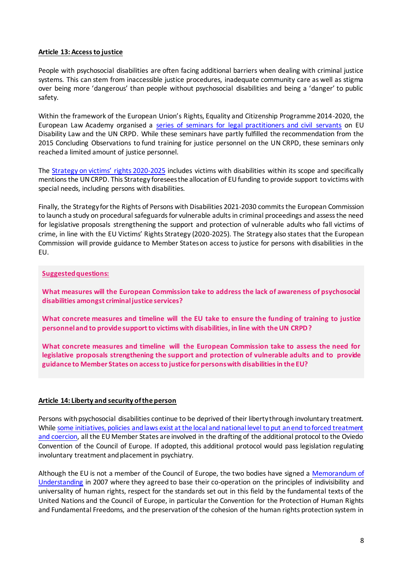# **Article 13: Access to justice**

People with psychosocial disabilities are often facing additional barriers when dealing with criminal justice systems. This can stem from inaccessible justice procedures, inadequate community care as well as stigma over being more 'dangerous' than people without psychosocial disabilities and being a 'danger' to public safety.

Within the framework of the European Union's Rights, Equality and Citizenship Programme 2014-2020, the European Law Academy organised a [series of seminars for legal practitioners and civil servants](https://www.era-comm.eu/UNCRPD/) on EU Disability Law and the UN CRPD. While these seminars have partly fulfilled the recommendation from the 2015 Concluding Observations to fund training for justice personnel on the UN CRPD, these seminars only reacheda limited amount of justice personnel.

The [Strategy on victims' rights 2020](https://eur-lex.europa.eu/legal-content/EN/TXT/?uri=CELEX:52020DC0258)-2025 includes victims with disabilities within its scope and specifically mentions the UN CRPD. This Strategy foresees the allocation of EU funding to provide support to victims with special needs, including persons with disabilities.

Finally, the Strategy for the Rights of Persons with Disabilities 2021-2030 commits the European Commission to launch a study on procedural safeguards for vulnerable adults in criminal proceedings and assess the need for legislative proposals strengthening the support and protection of vulnerable adults who fall victims of crime, in line with the EU Victims' Rights Strategy (2020-2025). The Strategy also states that the European Commission will provide guidance to Member States on access to justice for persons with disabilities in the EU.

## **Suggested questions:**

**What measures will the European Commission take to address the lack of awareness of psychosocial disabilities amongst criminal justice services?**

**What concrete measures and timeline will the EU take to ensure the funding of training to justice personnel and to provide support to victims with disabilities, in line with the UN CRPD?**

**What concrete measures and timeline will the European Commission take to assess the need for legislative proposals strengthening the support and protection of vulnerable adults and to provide guidance to Member States on access to justice for persons with disabilities in the EU?**

## **Article 14: Liberty and security of the person**

Persons with psychosocial disabilities continue to be deprived of their liberty through involuntary treatment. While [some initiatives, policies and laws exist at the local and national level to put an end to forced treatment](https://www.mhe-sme.org/what-we-do/human-rights/promising-practices/)  [and coercion,](https://www.mhe-sme.org/what-we-do/human-rights/promising-practices/) all the EU Member States are involved in the drafting of the additional protocol to the Oviedo Convention of the Council of Europe. If adopted, this additional protocol would pass legislation regulating involuntary treatment and placement in psychiatry.

Although the EU is not a member of the Council of Europe, the two bodies have signed a [Memorandum of](https://rm.coe.int/16804e437b)  [Understanding](https://rm.coe.int/16804e437b) in 2007 where they agreed to base their co-operation on the principles of indivisibility and universality of human rights, respect for the standards set out in this field by the fundamental texts of the United Nations and the Council of Europe, in particular the Convention for the Protection of Human Rights and Fundamental Freedoms, and the preservation of the cohesion of the human rights protection system in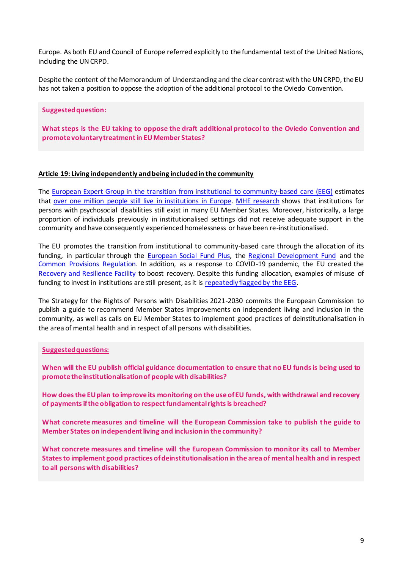Europe. As both EU and Council of Europe referred explicitly to the fundamental text of the United Nations, including the UN CRPD.

Despite the content of the Memorandum of Understanding and the clear contrast with the UN CRPD, the EU has not taken a position to oppose the adoption of the additional protocol to the Oviedo Convention.

**Suggested question:**

**What steps is the EU taking to oppose the draft additional protocol to the Oviedo Convention and promote voluntary treatment in EU Member States?**

## **Article 19: Living independently and being included in the community**

The [European Expert Group in the transition from institutional to community-based care \(EEG\)](https://deinstitutionalisation.com/) estimates that over one million [people still live in institutions in Europe.](https://deinstitutionalisationdotcom.files.wordpress.com/2021/07/updated-checklist-new-eeg-logo.pdf) [MHE research](https://mhe-sme.org/wp-content/uploads/2018/01/Mapping-and-Understanding-Exclusion-in-Europe.pdf) shows that institutions for persons with psychosocial disabilities still exist in many EU Member States. Moreover, historically, a large proportion of individuals previously in institutionalised settings did not receive adequate support in the community and have consequently experienced homelessness or have been re-institutionalised.

The EU promotes the transition from institutional to community-based care through the allocation of its funding, in particular through the [European Social Fund Plus,](https://eur-lex.europa.eu/legal-content/EN/TXT/?uri=CELEX%3A32021R1057) the [Regional Development Fund](https://eur-lex.europa.eu/eli/reg/2021/1058) and the [Common Provisions Regulation.](https://eur-lex.europa.eu/legal-content/EN/TXT/?uri=CELEX%3A32021R1060) In addition, as a response to COVID-19 pandemic, the EU created the [Recovery and Resilience Facility](https://ec.europa.eu/info/business-economy-euro/economic-and-fiscal-policy-coordination/eueconomyexplained/recovery-and-resilience-facility_en) to boost recovery. Despite this funding allocation, examples of misuse of funding to invest in institutions are still present, as it is [repeatedly flagged by the EEG.](https://deinstitutionalisation.com/newsflash/)

The Strategy for the Rights of Persons with Disabilities 2021-2030 commits the European Commission to publish a guide to recommend Member States improvements on independent living and inclusion in the community, as well as calls on EU Member States to implement good practices of deinstitutionalisation in the area of mental health and in respect of all persons with disabilities.

# **Suggested questions:**

**When will the EU publish official guidance documentation to ensure that no EU fundsis being used to promote the institutionalisation of people with disabilities?**

**How does the EU plan to improve its monitoring on the use of EU funds, with withdrawal and recovery of payments if the obligation to respect fundamental rights is breached?**

**What concrete measures and timeline will the European Commission take to publish the guide to Member States on independent living and inclusion in the community?**

**What concrete measures and timeline will the European Commission to monitor its call to Member States to implement good practices of deinstitutionalisation in the area of mental health and in respect to all persons with disabilities?**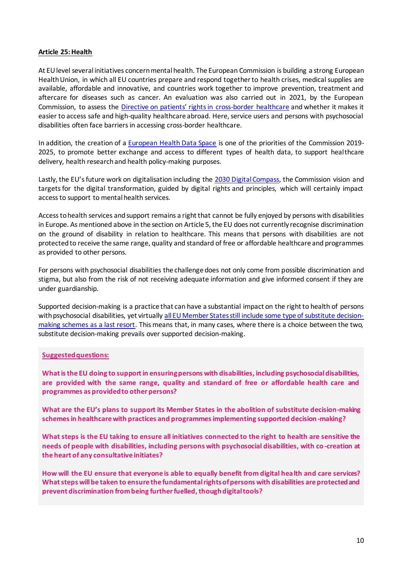## **Article 25: Health**

At EU level several initiatives concern mental health. The European Commission is building a strong European Health Union, in which all EU countries prepare and respond together to health crises, medical supplies are available, affordable and innovative, and countries work together to improve prevention, treatment and aftercare for diseases such as cancer. An evaluation was also carried out in 2021, by the European Commission, to assess the [Directive on patients' rights in cross](https://eur-lex.europa.eu/legal-content/EN/TXT/?uri=CELEX%3A32011L0024)-border healthcare and whether it makes it easier to access safe and high-quality healthcare abroad. Here, service users and persons with psychosocial disabilities often face barriers in accessing cross-border healthcare.

In addition, the creation of a [European Health Data Space](https://ec.europa.eu/health/ehealth-digital-health-and-care/european-health-data-space_en) is one of the priorities of the Commission 2019- 2025, to promote better exchange and access to different types of health data, to support healthcare delivery, health research and health policy-making purposes.

Lastly, the EU's future work on digitalisation including the [2030 Digital Compass,](https://ec.europa.eu/info/strategy/priorities-2019-2024/europe-fit-digital-age/europes-digital-decade-digital-targets-2030_en) the Commission vision and targets for the digital transformation, guided by digital rights and principles, which will certainly impact access to support to mental health services.

Access to health services and support remains a right that cannot be fully enjoyed by persons with disabilities in Europe. As mentioned above in the section on Article 5, the EU does not currently recognise discrimination on the ground of disability in relation to healthcare. This means that persons with disabilities are not protected to receive the same range, quality and standard of free or affordable healthcare and programmes as provided to other persons.

For persons with psychosocial disabilities the challenge does not only come from possible discrimination and stigma, but also from the risk of not receiving adequate information and give informed consent if they are under guardianship.

Supported decision-making is a practice that can have a substantial impact on the right to health of persons with psychosocial disabilities, yet virtuall[y all EU Member States still include some type of substitute decision](https://www.mhe-sme.org/wp-content/uploads/2020/06/Report-ENNHRI-and-MHE-Implementing-supported-decision-making.pdf)[making schemes as a last resort.](https://www.mhe-sme.org/wp-content/uploads/2020/06/Report-ENNHRI-and-MHE-Implementing-supported-decision-making.pdf) This means that, in many cases, where there is a choice between the two, substitute decision-making prevails over supported decision-making.

## **Suggested questions:**

**What is the EU doing to support in ensuring persons with disabilities, including psychosocial disabilities, are provided with the same range, quality and standard of free or affordable health care and programmes as provided to other persons?**

**What are the EU's plans to support its Member States in the abolition of substitute decision-making schemes in healthcare with practices and programmes implementing supported decision-making?**

**What steps is the EU taking to ensure all initiatives connected to the right to health are sensitive the needs of people with disabilities, including persons with psychosocial disabilities, with co -creation at the heart of any consultative initiates?**

**How will the EU ensure that everyone is able to equally benefit from digital health and care services? What steps will be taken to ensure the fundamental rights of persons with disabilities are protected and prevent discrimination from being further fuelled, though digital tools?**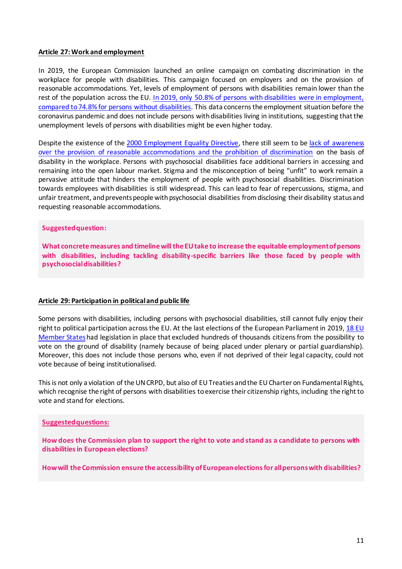# **Article 27: Work and employment**

In 2019, the European Commission launched an online campaign on combating discrimination in the workplace for people with disabilities. This campaign focused on employers and on the provision of reasonable accommodations. Yet, levels of employment of persons with disabilities remain lower than the rest of the population across the EU. [In 2019, only 50.8% of persons with disabilities were](https://www.edf-feph.org/publications/european-human-rights-report/) in employment, [compared to 74.8% for persons without disabilities.](https://www.edf-feph.org/publications/european-human-rights-report/) This data concerns the employment situation before the coronavirus pandemic and does not include persons with disabilities living in institutions, suggesting that the unemployment levels of persons with disabilities might be even higher today.

Despite the existence of the [2000 Employment Equality Directive,](https://eur-lex.europa.eu/legal-content/EN/TXT/?uri=celex%3A32000L0078) there still seem to be [lack of awareness](https://equineteurope.org/reasonable-accommodation-for-persons-with-disabilities-what-challenges-in-its-practical-implementation/)  [over the provision of reasonable accommodations and the prohibition of discrimination](https://equineteurope.org/reasonable-accommodation-for-persons-with-disabilities-what-challenges-in-its-practical-implementation/) on the basis of disability in the workplace. Persons with psychosocial disabilities face additional barriers in accessing and remaining into the open labour market. Stigma and the misconception of being "unfit" to work remain a pervasive attitude that hinders the employment of people with psychosocial disabilities. Discrimination towards employees with disabilities is still widespread. This can lead to fear of repercussions, stigma, and unfair treatment, and prevents people with psychosocial disabilities from disclosing their disability status and requesting reasonable accommodations.

## **Suggested question:**

**What concrete measures and timeline will the EU take to increase the equitable employment of persons with disabilities, including tackling disability-specific barriers like those faced by people with psychosocial disabilities?**

## **Article 29: Participation in political and public life**

Some persons with disabilities, including persons with psychosocial disabilities, still cannot fully enjoy their right to political participation across the EU. At the last elections of the European Parliament in 2019, 18 [EU](https://fra.europa.eu/en/publication/2019/who-will-not-get-vote-2019-european-parliament-elections)  [Member States](https://fra.europa.eu/en/publication/2019/who-will-not-get-vote-2019-european-parliament-elections)had legislation in place that excluded hundreds of thousands citizens from the possibility to vote on the ground of disability (namely because of being placed under plenary or partial guardianship). Moreover, this does not include those persons who, even if not deprived of their legal capacity, could not vote because of being institutionalised.

This is not only a violation of the UN CRPD, but also of EU Treatiesand the EU Charter on Fundamental Rights, which recognise the right of persons with disabilities to exercise their citizenship rights, including the right to vote and stand for elections.

## **Suggested questions:**

**How does the Commission plan to support the right to vote and stand as a candidate to persons with disabilities in European elections?** 

**How will the Commission ensure the accessibility of European elections for all persons with disabilities?**